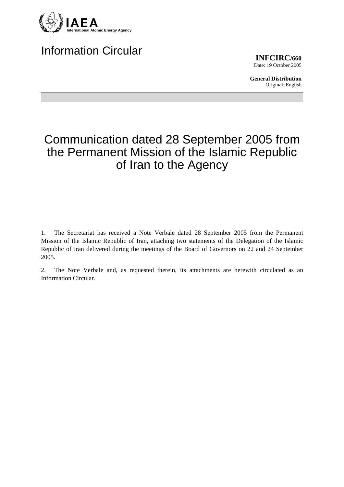

## Information Circular

**INFCIRC/660** Date: 19 October 2005

**General Distribution** Original: English

## Communication dated 28 September 2005 from the Permanent Mission of the Islamic Republic of Iran to the Agency

1. The Secretariat has received a Note Verbale dated 28 September 2005 from the Permanent Mission of the Islamic Republic of Iran, attaching two statements of the Delegation of the Islamic Republic of Iran delivered during the meetings of the Board of Governors on 22 and 24 September 2005.

2. The Note Verbale and, as requested therein, its attachments are herewith circulated as an Information Circular.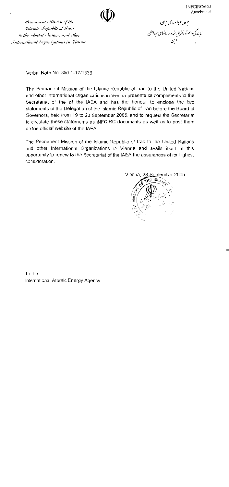INFCIRC/660 Attachment



Rermanent Alission of the Islamic Republic of Iran to the United Aations and other International Organizations in Tienna

حبهوری *اسلامی ایران*<br>ٔ<br>ٔ مایندگی دانم تزد دنترملل تحدوسازمانهای <sub>ث</sub>بی المللی

Verbal Note No. 350-1-17/1336

The Permanent Mission of the Islamic Republic of Iran to the United Nations and other International Organizations in Vienna presents its compliments to the Secretariat of the of the IAEA and has the honour to enclose the two statements of the Delegation of the Islamic Republic of Iran before the Board of Governors, held from 19 to 23 September 2005, and to request the Secretariat to circulate these statements as INFCIRC documents as well as to post them on the official website of the IAEA.

The Permanent Mission of the Islamic Republic of Iran to the United Nations and other International Organizations in Vienna and avails itself of this opportunity to renew to the Secretariat of the IAEA the assurances of its highest consideration.

Vienna, 28 September 2005 THE ISLAM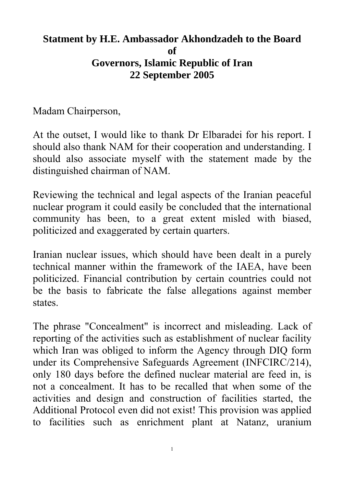## **Statment by H.E. Ambassador Akhondzadeh to the Board of Governors, Islamic Republic of Iran 22 September 2005**

Madam Chairperson,

At the outset, I would like to thank Dr Elbaradei for his report. I should also thank NAM for their cooperation and understanding. I should also associate myself with the statement made by the distinguished chairman of NAM.

Reviewing the technical and legal aspects of the Iranian peaceful nuclear program it could easily be concluded that the international community has been, to a great extent misled with biased, politicized and exaggerated by certain quarters.

Iranian nuclear issues, which should have been dealt in a purely technical manner within the framework of the IAEA, have been politicized. Financial contribution by certain countries could not be the basis to fabricate the false allegations against member states.

The phrase "Concealment" is incorrect and misleading. Lack of reporting of the activities such as establishment of nuclear facility which Iran was obliged to inform the Agency through DIQ form under its Comprehensive Safeguards Agreement (INFCIRC/214), only 180 days before the defined nuclear material are feed in, is not a concealment. It has to be recalled that when some of the activities and design and construction of facilities started, the Additional Protocol even did not exist! This provision was applied to facilities such as enrichment plant at Natanz, uranium

1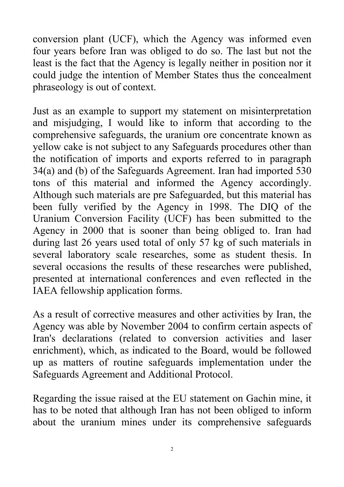conversion plant (UCF), which the Agency was informed even four years before Iran was obliged to do so. The last but not the least is the fact that the Agency is legally neither in position nor it could judge the intention of Member States thus the concealment phraseology is out of context.

Just as an example to support my statement on misinterpretation and misjudging, I would like to inform that according to the comprehensive safeguards, the uranium ore concentrate known as yellow cake is not subject to any Safeguards procedures other than the notification of imports and exports referred to in paragraph 34(a) and (b) of the Safeguards Agreement. Iran had imported 530 tons of this material and informed the Agency accordingly. Although such materials are pre Safeguarded, but this material has been fully verified by the Agency in 1998. The DIQ of the Uranium Conversion Facility (UCF) has been submitted to the Agency in 2000 that is sooner than being obliged to. Iran had during last 26 years used total of only 57 kg of such materials in several laboratory scale researches, some as student thesis. In several occasions the results of these researches were published, presented at international conferences and even reflected in the IAEA fellowship application forms.

As a result of corrective measures and other activities by Iran, the Agency was able by November 2004 to confirm certain aspects of Iran's declarations (related to conversion activities and laser enrichment), which, as indicated to the Board, would be followed up as matters of routine safeguards implementation under the Safeguards Agreement and Additional Protocol.

Regarding the issue raised at the EU statement on Gachin mine, it has to be noted that although Iran has not been obliged to inform about the uranium mines under its comprehensive safeguards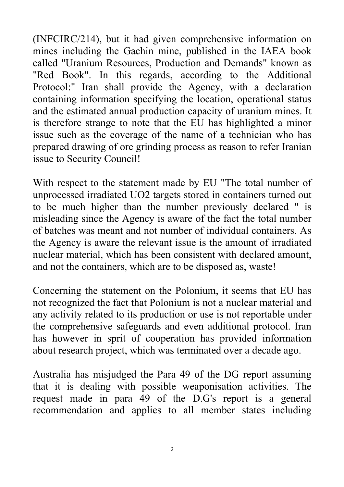(INFCIRC/214), but it had given comprehensive information on mines including the Gachin mine, published in the IAEA book called "Uranium Resources, Production and Demands" known as "Red Book". In this regards, according to the Additional Protocol:" Iran shall provide the Agency, with a declaration containing information specifying the location, operational status and the estimated annual production capacity of uranium mines. It is therefore strange to note that the EU has highlighted a minor issue such as the coverage of the name of a technician who has prepared drawing of ore grinding process as reason to refer Iranian issue to Security Council!

With respect to the statement made by EU "The total number of unprocessed irradiated UO2 targets stored in containers turned out to be much higher than the number previously declared " is misleading since the Agency is aware of the fact the total number of batches was meant and not number of individual containers. As the Agency is aware the relevant issue is the amount of irradiated nuclear material, which has been consistent with declared amount, and not the containers, which are to be disposed as, waste!

Concerning the statement on the Polonium, it seems that EU has not recognized the fact that Polonium is not a nuclear material and any activity related to its production or use is not reportable under the comprehensive safeguards and even additional protocol. Iran has however in sprit of cooperation has provided information about research project, which was terminated over a decade ago.

Australia has misjudged the Para 49 of the DG report assuming that it is dealing with possible weaponisation activities. The request made in para 49 of the D.G's report is a general recommendation and applies to all member states including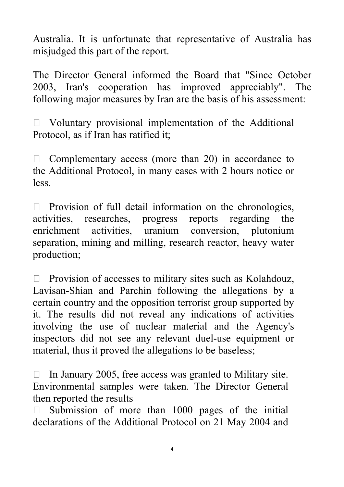Australia. It is unfortunate that representative of Australia has misjudged this part of the report.

The Director General informed the Board that "Since October 2003, Iran's cooperation has improved appreciably". The following major measures by Iran are the basis of his assessment:

 $\Box$  Voluntary provisional implementation of the Additional Protocol, as if Iran has ratified it;

 $\Box$  Complementary access (more than 20) in accordance to the Additional Protocol, in many cases with 2 hours notice or less.

 $\Box$  Provision of full detail information on the chronologies, activities, researches, progress reports regarding the enrichment activities, uranium conversion, plutonium separation, mining and milling, research reactor, heavy water production;

 $\Box$  Provision of accesses to military sites such as Kolahdouz, Lavisan-Shian and Parchin following the allegations by a certain country and the opposition terrorist group supported by it. The results did not reveal any indications of activities involving the use of nuclear material and the Agency's inspectors did not see any relevant duel-use equipment or material, thus it proved the allegations to be baseless;

 $\Box$  In January 2005, free access was granted to Military site. Environmental samples were taken. The Director General then reported the results

 Submission of more than 1000 pages of the initial declarations of the Additional Protocol on 21 May 2004 and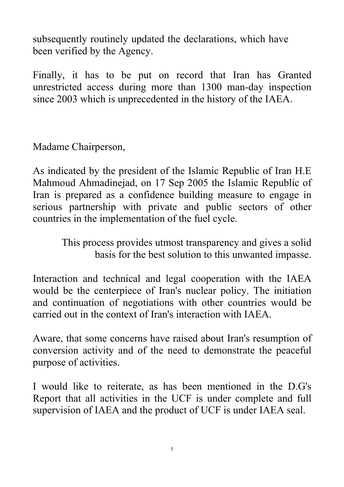subsequently routinely updated the declarations, which have been verified by the Agency.

Finally, it has to be put on record that Iran has Granted unrestricted access during more than 1300 man-day inspection since 2003 which is unprecedented in the history of the IAEA.

Madame Chairperson,

As indicated by the president of the Islamic Republic of Iran H.E Mahmoud Ahmadinejad, on 17 Sep 2005 the Islamic Republic of Iran is prepared as a confidence building measure to engage in serious partnership with private and public sectors of other countries in the implementation of the fuel cycle.

> This process provides utmost transparency and gives a solid basis for the best solution to this unwanted impasse.

Interaction and technical and legal cooperation with the IAEA would be the centerpiece of Iran's nuclear policy. The initiation and continuation of negotiations with other countries would be carried out in the context of Iran's interaction with IAEA.

Aware, that some concerns have raised about Iran's resumption of conversion activity and of the need to demonstrate the peaceful purpose of activities.

I would like to reiterate, as has been mentioned in the D.G's Report that all activities in the UCF is under complete and full supervision of IAEA and the product of UCF is under IAEA seal.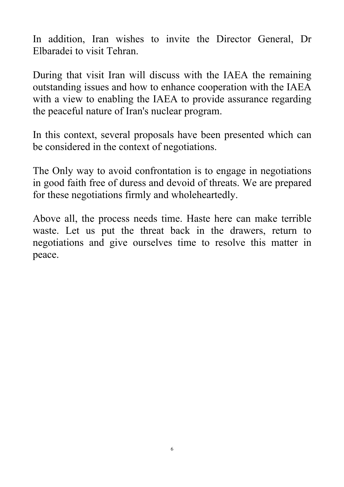In addition, Iran wishes to invite the Director General, Dr Elbaradei to visit Tehran.

During that visit Iran will discuss with the IAEA the remaining outstanding issues and how to enhance cooperation with the IAEA with a view to enabling the IAEA to provide assurance regarding the peaceful nature of Iran's nuclear program.

In this context, several proposals have been presented which can be considered in the context of negotiations.

The Only way to avoid confrontation is to engage in negotiations in good faith free of duress and devoid of threats. We are prepared for these negotiations firmly and wholeheartedly.

Above all, the process needs time. Haste here can make terrible waste. Let us put the threat back in the drawers, return to negotiations and give ourselves time to resolve this matter in peace.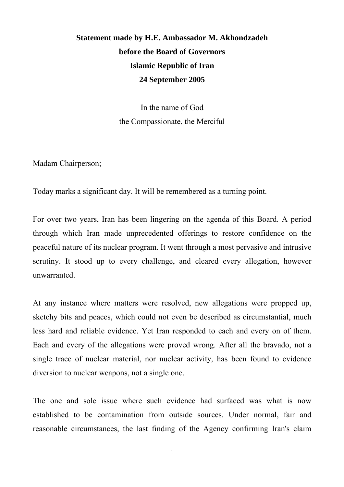## **Statement made by H.E. Ambassador M. Akhondzadeh before the Board of Governors Islamic Republic of Iran 24 September 2005**

In the name of God the Compassionate, the Merciful

Madam Chairperson;

Today marks a significant day. It will be remembered as a turning point.

For over two years, Iran has been lingering on the agenda of this Board. A period through which Iran made unprecedented offerings to restore confidence on the peaceful nature of its nuclear program. It went through a most pervasive and intrusive scrutiny. It stood up to every challenge, and cleared every allegation, however unwarranted.

At any instance where matters were resolved, new allegations were propped up, sketchy bits and peaces, which could not even be described as circumstantial, much less hard and reliable evidence. Yet Iran responded to each and every on of them. Each and every of the allegations were proved wrong. After all the bravado, not a single trace of nuclear material, nor nuclear activity, has been found to evidence diversion to nuclear weapons, not a single one.

The one and sole issue where such evidence had surfaced was what is now established to be contamination from outside sources. Under normal, fair and reasonable circumstances, the last finding of the Agency confirming Iran's claim

1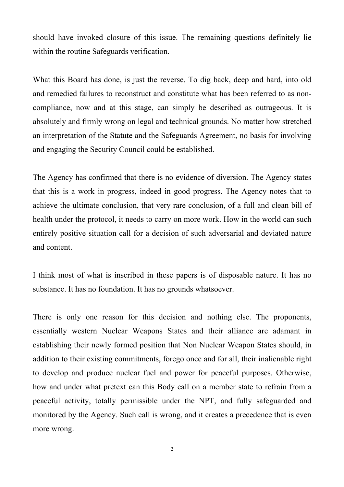should have invoked closure of this issue. The remaining questions definitely lie within the routine Safeguards verification.

What this Board has done, is just the reverse. To dig back, deep and hard, into old and remedied failures to reconstruct and constitute what has been referred to as noncompliance, now and at this stage, can simply be described as outrageous. It is absolutely and firmly wrong on legal and technical grounds. No matter how stretched an interpretation of the Statute and the Safeguards Agreement, no basis for involving and engaging the Security Council could be established.

The Agency has confirmed that there is no evidence of diversion. The Agency states that this is a work in progress, indeed in good progress. The Agency notes that to achieve the ultimate conclusion, that very rare conclusion, of a full and clean bill of health under the protocol, it needs to carry on more work. How in the world can such entirely positive situation call for a decision of such adversarial and deviated nature and content.

I think most of what is inscribed in these papers is of disposable nature. It has no substance. It has no foundation. It has no grounds whatsoever.

There is only one reason for this decision and nothing else. The proponents, essentially western Nuclear Weapons States and their alliance are adamant in establishing their newly formed position that Non Nuclear Weapon States should, in addition to their existing commitments, forego once and for all, their inalienable right to develop and produce nuclear fuel and power for peaceful purposes. Otherwise, how and under what pretext can this Body call on a member state to refrain from a peaceful activity, totally permissible under the NPT, and fully safeguarded and monitored by the Agency. Such call is wrong, and it creates a precedence that is even more wrong.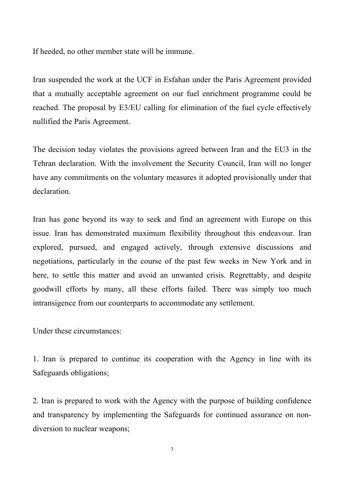If heeded, no other member state will be immune.

Iran suspended the work at the UCF in Esfahan under the Paris Agreement provided that a mutually acceptable agreement on our fuel enrichment programme could be reached. The proposal by E3/EU calling for elimination of the fuel cycle effectively nullified the Paris Agreement.

The decision today violates the provisions agreed between Iran and the EU3 in the Tehran declaration. With the involvement the Security Council, Iran will no longer have any commitments on the voluntary measures it adopted provisionally under that declaration.

Iran has gone beyond its way to seek and find an agreement with Europe on this issue. Iran has demonstrated maximum flexibility throughout this endeavour. Iran explored, pursued, and engaged actively, through extensive discussions and negotiations, particularly in the course of the past few weeks in New York and in here, to settle this matter and avoid an unwanted crisis. Regrettably, and despite goodwill efforts by many, all these efforts failed. There was simply too much intransigence from our counterparts to accommodate any settlement.

Under these circumstances:

1. Iran is prepared to continue its cooperation with the Agency in line with its Safeguards obligations;

2. Iran is prepared to work with the Agency with the purpose of building confidence and transparency by implementing the Safeguards for continued assurance on nondiversion to nuclear weapons;

3